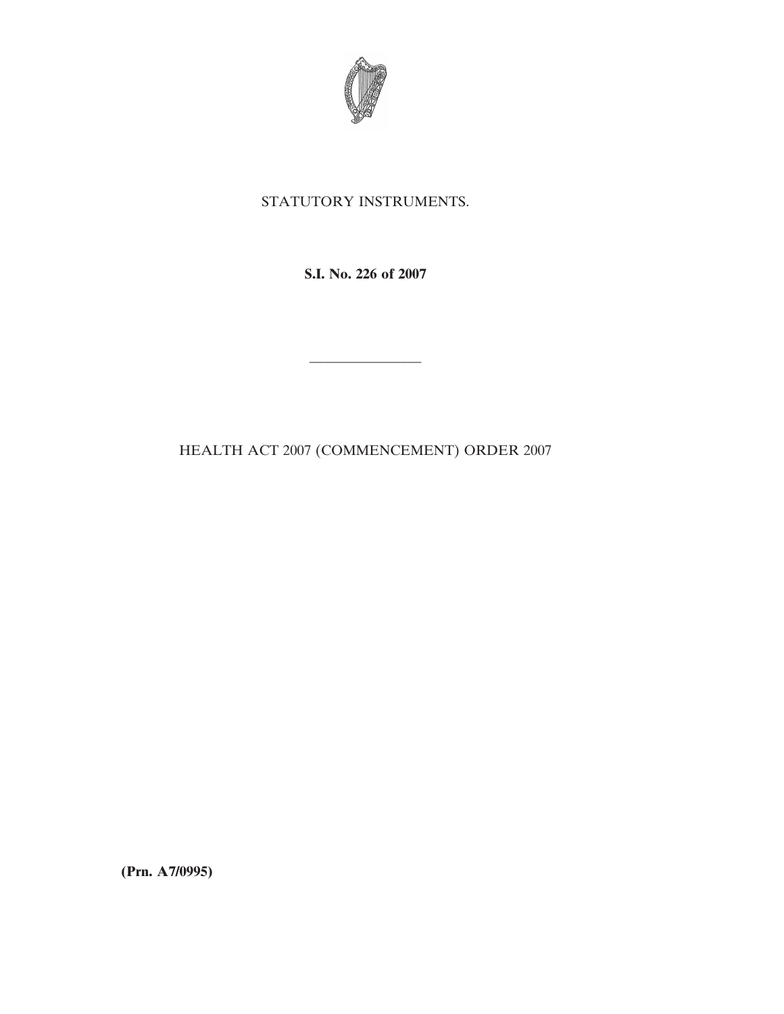

## STATUTORY INSTRUMENTS.

**S.I. No. 226 of 2007**

————————

HEALTH ACT 2007 (COMMENCEMENT) ORDER 2007

**(Prn. A7/0995)**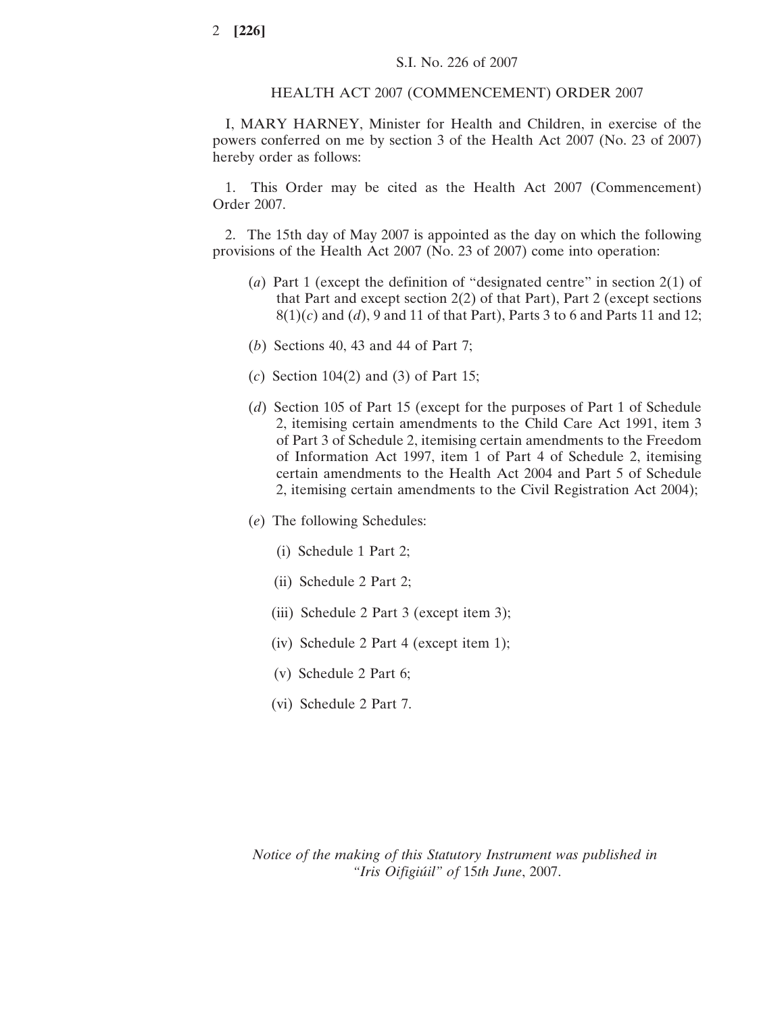## HEALTH ACT 2007 (COMMENCEMENT) ORDER 2007

I, MARY HARNEY, Minister for Health and Children, in exercise of the powers conferred on me by section 3 of the Health Act 2007 (No. 23 of 2007) hereby order as follows:

1. This Order may be cited as the Health Act 2007 (Commencement) Order 2007.

2. The 15th day of May 2007 is appointed as the day on which the following provisions of the Health Act 2007 (No. 23 of 2007) come into operation:

- (*a*) Part 1 (except the definition of "designated centre" in section 2(1) of that Part and except section 2(2) of that Part), Part 2 (except sections 8(1)(*c*) and (*d*), 9 and 11 of that Part), Parts 3 to 6 and Parts 11 and 12;
- (*b*) Sections 40, 43 and 44 of Part 7;
- (*c*) Section 104(2) and (3) of Part 15;
- (*d*) Section 105 of Part 15 (except for the purposes of Part 1 of Schedule 2, itemising certain amendments to the Child Care Act 1991, item 3 of Part 3 of Schedule 2, itemising certain amendments to the Freedom of Information Act 1997, item 1 of Part 4 of Schedule 2, itemising certain amendments to the Health Act 2004 and Part 5 of Schedule 2, itemising certain amendments to the Civil Registration Act 2004);
- (*e*) The following Schedules:
	- (i) Schedule 1 Part 2;
	- (ii) Schedule 2 Part 2;
	- (iii) Schedule 2 Part 3 (except item 3);
	- (iv) Schedule 2 Part 4 (except item 1);
	- (v) Schedule 2 Part 6;
	- (vi) Schedule 2 Part 7.

*Notice of the making of this Statutory Instrument was published in "Iris Oifigiu´il" of* 15*th June*, 2007.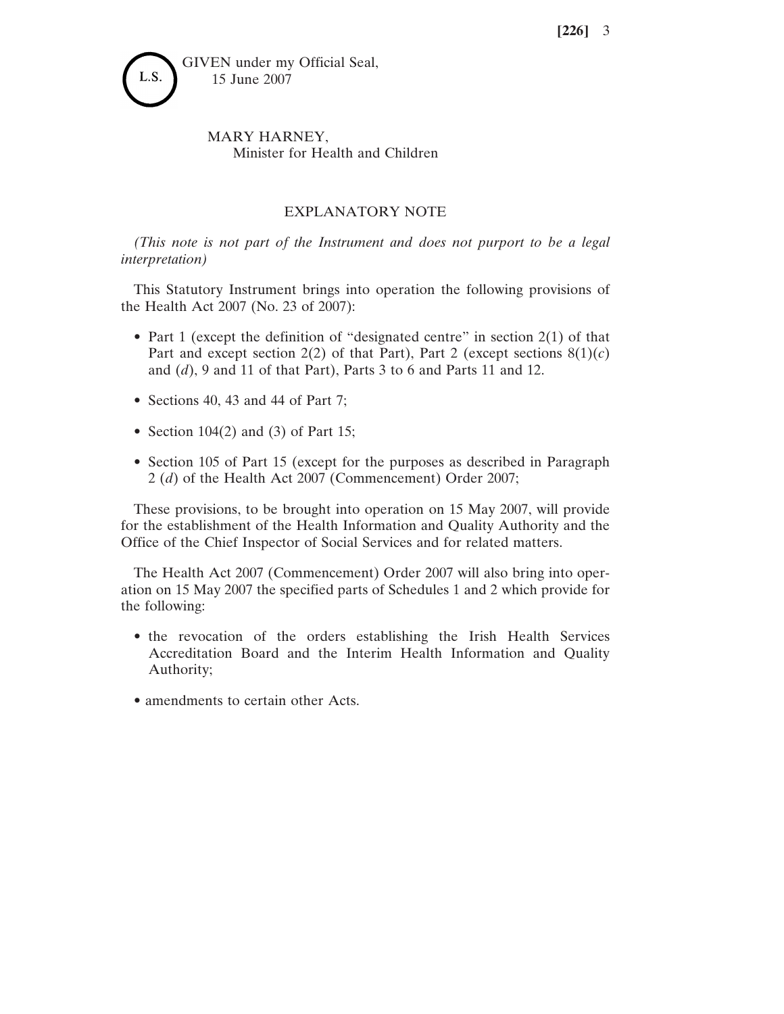

## MARY HARNEY, Minister for Health and Children

## EXPLANATORY NOTE

*(This note is not part of the Instrument and does not purport to be a legal interpretation)*

This Statutory Instrument brings into operation the following provisions of the Health Act 2007 (No. 23 of 2007):

- Part 1 (except the definition of "designated centre" in section 2(1) of that Part and except section  $2(2)$  of that Part), Part 2 (except sections  $8(1)(c)$ ) and (*d*), 9 and 11 of that Part), Parts 3 to 6 and Parts 11 and 12.
- Sections 40, 43 and 44 of Part 7;
- Section  $104(2)$  and  $(3)$  of Part 15;
- Section 105 of Part 15 (except for the purposes as described in Paragraph 2 (*d*) of the Health Act 2007 (Commencement) Order 2007;

These provisions, to be brought into operation on 15 May 2007, will provide for the establishment of the Health Information and Quality Authority and the Office of the Chief Inspector of Social Services and for related matters.

The Health Act 2007 (Commencement) Order 2007 will also bring into operation on 15 May 2007 the specified parts of Schedules 1 and 2 which provide for the following:

- the revocation of the orders establishing the Irish Health Services Accreditation Board and the Interim Health Information and Quality Authority;
- amendments to certain other Acts.